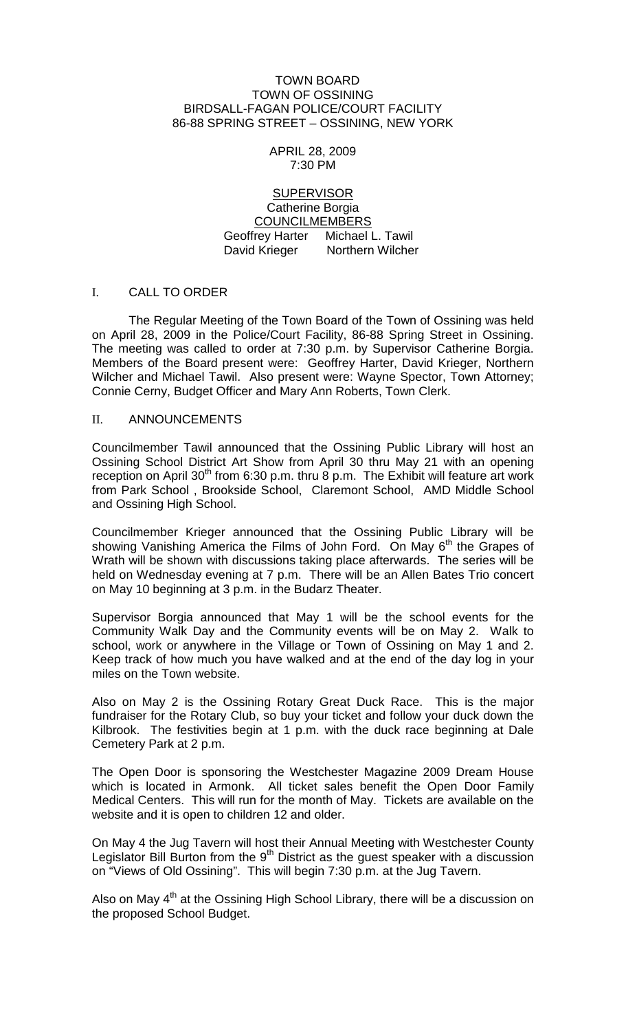#### TOWN BOARD TOWN OF OSSINING BIRDSALL-FAGAN POLICE/COURT FACILITY 86-88 SPRING STREET – OSSINING, NEW YORK

#### APRIL 28, 2009 7:30 PM

### **SUPERVISOR** Catherine Borgia COUNCILMEMBERS Geoffrey Harter Michael L. Tawil David Krieger Northern Wilcher

### I. CALL TO ORDER

The Regular Meeting of the Town Board of the Town of Ossining was held on April 28, 2009 in the Police/Court Facility, 86-88 Spring Street in Ossining. The meeting was called to order at 7:30 p.m. by Supervisor Catherine Borgia. Members of the Board present were: Geoffrey Harter, David Krieger, Northern Wilcher and Michael Tawil. Also present were: Wayne Spector, Town Attorney; Connie Cerny, Budget Officer and Mary Ann Roberts, Town Clerk.

### II. ANNOUNCEMENTS

Councilmember Tawil announced that the Ossining Public Library will host an Ossining School District Art Show from April 30 thru May 21 with an opening reception on April 30<sup>th</sup> from 6:30 p.m. thru 8 p.m. The Exhibit will feature art work from Park School , Brookside School, Claremont School, AMD Middle School and Ossining High School.

Councilmember Krieger announced that the Ossining Public Library will be showing Vanishing America the Films of John Ford. On May 6<sup>th</sup> the Grapes of Wrath will be shown with discussions taking place afterwards. The series will be held on Wednesday evening at 7 p.m. There will be an Allen Bates Trio concert on May 10 beginning at 3 p.m. in the Budarz Theater.

Supervisor Borgia announced that May 1 will be the school events for the Community Walk Day and the Community events will be on May 2. Walk to school, work or anywhere in the Village or Town of Ossining on May 1 and 2. Keep track of how much you have walked and at the end of the day log in your miles on the Town website.

Also on May 2 is the Ossining Rotary Great Duck Race. This is the major fundraiser for the Rotary Club, so buy your ticket and follow your duck down the Kilbrook. The festivities begin at 1 p.m. with the duck race beginning at Dale Cemetery Park at 2 p.m.

The Open Door is sponsoring the Westchester Magazine 2009 Dream House which is located in Armonk. All ticket sales benefit the Open Door Family Medical Centers. This will run for the month of May. Tickets are available on the website and it is open to children 12 and older.

On May 4 the Jug Tavern will host their Annual Meeting with Westchester County Legislator Bill Burton from the  $9<sup>th</sup>$  District as the guest speaker with a discussion on "Views of Old Ossining". This will begin 7:30 p.m. at the Jug Tavern.

Also on May  $4<sup>th</sup>$  at the Ossining High School Library, there will be a discussion on the proposed School Budget.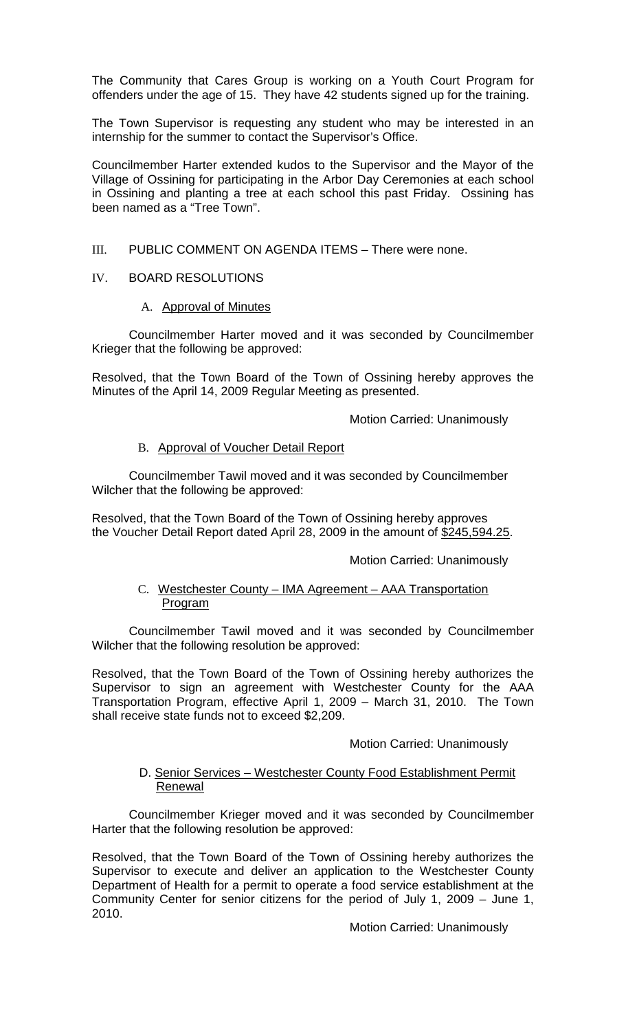The Community that Cares Group is working on a Youth Court Program for offenders under the age of 15. They have 42 students signed up for the training.

The Town Supervisor is requesting any student who may be interested in an internship for the summer to contact the Supervisor's Office.

Councilmember Harter extended kudos to the Supervisor and the Mayor of the Village of Ossining for participating in the Arbor Day Ceremonies at each school in Ossining and planting a tree at each school this past Friday. Ossining has been named as a "Tree Town".

### III. PUBLIC COMMENT ON AGENDA ITEMS – There were none.

### IV. BOARD RESOLUTIONS

### A. Approval of Minutes

Councilmember Harter moved and it was seconded by Councilmember Krieger that the following be approved:

Resolved, that the Town Board of the Town of Ossining hereby approves the Minutes of the April 14, 2009 Regular Meeting as presented.

Motion Carried: Unanimously

## B. Approval of Voucher Detail Report

Councilmember Tawil moved and it was seconded by Councilmember Wilcher that the following be approved:

Resolved, that the Town Board of the Town of Ossining hereby approves the Voucher Detail Report dated April 28, 2009 in the amount of \$245,594.25.

Motion Carried: Unanimously

### C. Westchester County – IMA Agreement – AAA Transportation Program

Councilmember Tawil moved and it was seconded by Councilmember Wilcher that the following resolution be approved:

Resolved, that the Town Board of the Town of Ossining hereby authorizes the Supervisor to sign an agreement with Westchester County for the AAA Transportation Program, effective April 1, 2009 – March 31, 2010. The Town shall receive state funds not to exceed \$2,209.

### Motion Carried: Unanimously

### D. Senior Services – Westchester County Food Establishment Permit Renewal

Councilmember Krieger moved and it was seconded by Councilmember Harter that the following resolution be approved:

Resolved, that the Town Board of the Town of Ossining hereby authorizes the Supervisor to execute and deliver an application to the Westchester County Department of Health for a permit to operate a food service establishment at the Community Center for senior citizens for the period of July 1, 2009 – June 1, 2010.

Motion Carried: Unanimously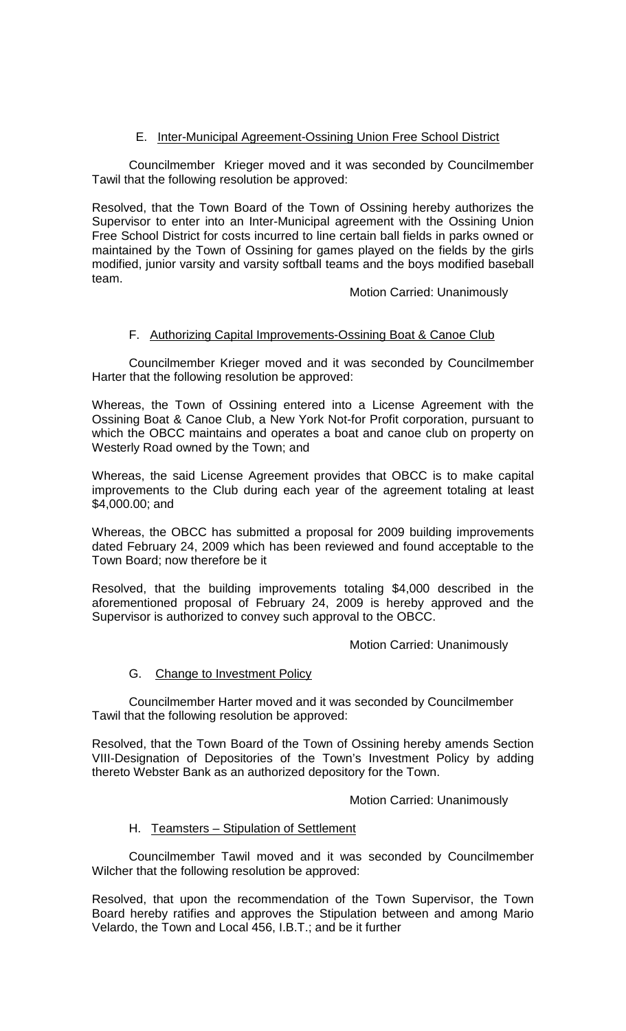# E. Inter-Municipal Agreement-Ossining Union Free School District

Councilmember Krieger moved and it was seconded by Councilmember Tawil that the following resolution be approved:

Resolved, that the Town Board of the Town of Ossining hereby authorizes the Supervisor to enter into an Inter-Municipal agreement with the Ossining Union Free School District for costs incurred to line certain ball fields in parks owned or maintained by the Town of Ossining for games played on the fields by the girls modified, junior varsity and varsity softball teams and the boys modified baseball team.

Motion Carried: Unanimously

## F. Authorizing Capital Improvements-Ossining Boat & Canoe Club

Councilmember Krieger moved and it was seconded by Councilmember Harter that the following resolution be approved:

Whereas, the Town of Ossining entered into a License Agreement with the Ossining Boat & Canoe Club, a New York Not-for Profit corporation, pursuant to which the OBCC maintains and operates a boat and canoe club on property on Westerly Road owned by the Town; and

Whereas, the said License Agreement provides that OBCC is to make capital improvements to the Club during each year of the agreement totaling at least \$4,000.00; and

Whereas, the OBCC has submitted a proposal for 2009 building improvements dated February 24, 2009 which has been reviewed and found acceptable to the Town Board; now therefore be it

Resolved, that the building improvements totaling \$4,000 described in the aforementioned proposal of February 24, 2009 is hereby approved and the Supervisor is authorized to convey such approval to the OBCC.

Motion Carried: Unanimously

## G. Change to Investment Policy

Councilmember Harter moved and it was seconded by Councilmember Tawil that the following resolution be approved:

Resolved, that the Town Board of the Town of Ossining hereby amends Section VIII-Designation of Depositories of the Town's Investment Policy by adding thereto Webster Bank as an authorized depository for the Town.

Motion Carried: Unanimously

## H. Teamsters – Stipulation of Settlement

Councilmember Tawil moved and it was seconded by Councilmember Wilcher that the following resolution be approved:

Resolved, that upon the recommendation of the Town Supervisor, the Town Board hereby ratifies and approves the Stipulation between and among Mario Velardo, the Town and Local 456, I.B.T.; and be it further